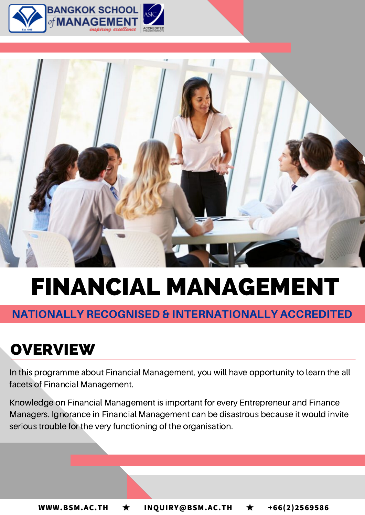



# FINANCIAL MANAGEMENT

# NATIONALLY RECOGNISED & INTERNATIONALLY ACCREDITED

# **OVERVIEW**

In this programme about Financial Management, you will have opportunity to learn the all facets of Financial Management.

Knowledge on Financial Management is important for every Entrepreneur and Finance Managers. Ignorance in Financial Management can be disastrous because it would invite serious trouble for the very functioning of the organisation.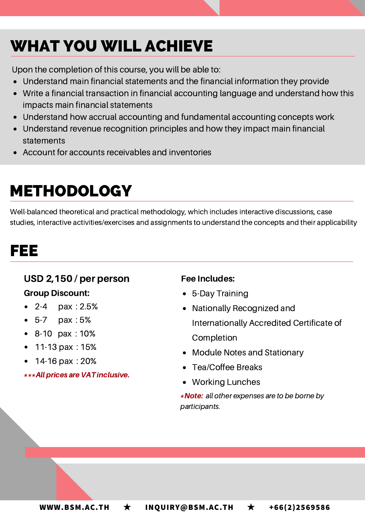# WHAT YOU WILL ACHIEVE

Upon the completion of this course, you will be able to:

- Understand main financial statements and the financial information they provide
- Write a financial transaction in financial accounting language and understand how this impacts main financial statements
- Understand how accrual accounting and fundamental accounting concepts work
- Understand revenue recognition principles and how they impact main financial statements
- Account for accounts receivables and inventories

# METHODOLOGY

Well-balanced theoretical and practical methodology, which includes interactive discussions, case studies, interactive activities/exercises and assignments to understand the concepts and their applicability

# FEE

### USD 2,150 / per person

#### Group Discount:

- 2-4  $\mu$  pax : 2.5%
- 5-7 pax : 5%
- 8-10 pax : 10%
- 11-13  $\text{pax} : 15\%$
- 14-16 pax : 20%  $\bullet$

\*\*\*Allprices are VAT inclusive.

#### Fee Includes:

- 5-Day Training
- Nationally Recognized and Internationally Accredited Certificate of Completion
- Module Notes and Stationary
- Tea/Coffee Breaks
- Working Lunches

\*Note: all other expenses are to be borne by participants.